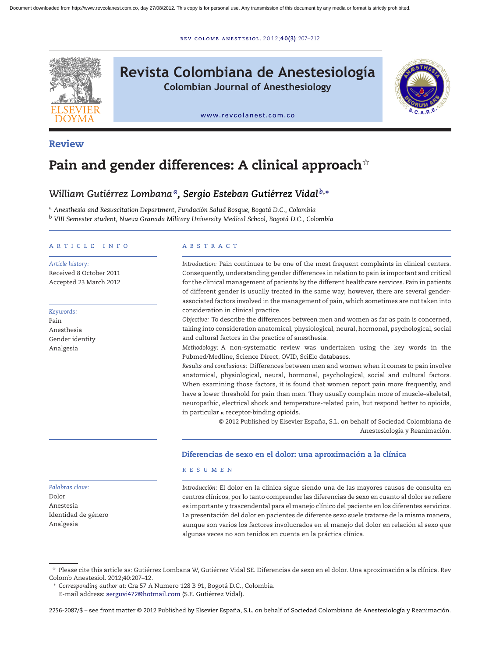r ev [colomb](dx.doi.org/10.1016/j.rcae.2012.05.006) ane s t e s iol . 2 0 1 2;**40(3)**:207–212



# **Review**

# **Pain and gender differences: A clinical approach**-

# *William Gutiérrez Lombanaa, Sergio Esteban Gutiérrez Vidal <sup>b</sup>***,<sup>∗</sup>**

<sup>a</sup> *Anesthesia and Resuscitation Department, Fundación Salud Bosque, Bogotá D.C., Colombia* <sup>b</sup> *VIII Semester student, Nueva Granada Military University Medical School, Bogotá D.C., Colombia*

#### a r t i c l e i n f o

*Article history:* Received 8 October 2011 Accepted 23 March 2012

#### *Keywords:*

Pain Anesthesia Gender identity Analgesia

#### A B S T R A C T

*Introduction:* Pain continues to be one of the most frequent complaints in clinical centers. Consequently, understanding gender differences in relation to pain is important and critical for the clinical management of patients by the different healthcare services. Pain in patients of different gender is usually treated in the same way; however, there are several genderassociated factors involved in the management of pain, which sometimes are not taken into consideration in clinical practice.

*Objective:* To describe the differences between men and women as far as pain is concerned, taking into consideration anatomical, physiological, neural, hormonal, psychological, social and cultural factors in the practice of anesthesia.

*Methodology:* A non-systematic review was undertaken using the key words in the Pubmed/Medline, Science Direct, OVID, SciElo databases.

*Results and conclusions:* Differences between men and women when it comes to pain involve anatomical, physiological, neural, hormonal, psychological, social and cultural factors. When examining those factors, it is found that women report pain more frequently, and have a lower threshold for pain than men. They usually complain more of muscle–skeletal, neuropathic, electrical shock and temperature-related pain, but respond better to opioids, in particular  $\kappa$  receptor-binding opioids.

© 2012 Published by Elsevier España, S.L. on behalf of Sociedad Colombiana de Anestesiología y Reanimación.

# **Diferencias de sexo en el dolor: una aproximación a la clínica**

#### r e s u m e n

*Introducción:* El dolor en la clínica sigue siendo una de las mayores causas de consulta en centros clínicos, por lo tanto comprender las diferencias de sexo en cuanto al dolor se refiere es importante y trascendental para el manejo clínico del paciente en los diferentes servicios. La presentación del dolor en pacientes de diferente sexo suele tratarse de la misma manera, aunque son varios los factores involucrados en el manejo del dolor en relación al sexo que algunas veces no son tenidos en cuenta en la práctica clínica.

Anestesia Identidad de género Analgesia

2256-2087/\$ – see front matter © 2012 Published by Elsevier España, S.L. on behalf of Sociedad Colombiana de Anestesiología y Reanimación.

*Palabras clave:* Dolor

 $^\star$  Please cite this article as: Gutiérrez Lombana W, Gutiérrez Vidal SE. Diferencias de sexo en el dolor. Una aproximación a la clínica. Rev Colomb Anestesiol. 2012;40:207–12.

<sup>∗</sup> *Corresponding author at*: Cra 57 A Numero 128 B 91, Bogotá D.C., Colombia.

E-mail address: [serguvi472@hotmail.com](mailto:serguvi472@hotmail.com) (S.E. Gutiérrez Vidal).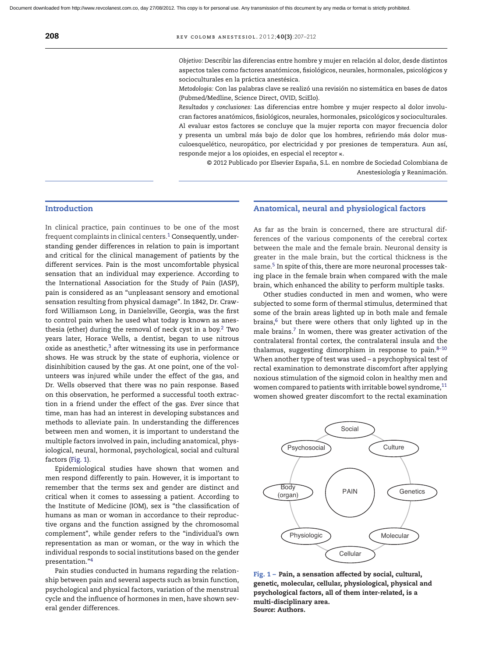*Objetivo:* Describir las diferencias entre hombre y mujer en relación al dolor, desde distintos aspectos tales como factores anatómicos, fisiológicos, neurales, hormonales, psicológicos y socioculturales en la práctica anestésica.

*Metodologia:* Con las palabras clave se realizó una revisión no sistemática en bases de datos (Pubmed/Medline, Science Direct, OVID, SciElo).

*Resultados y conclusiones:* Las diferencias entre hombre y mujer respecto al dolor involucran factores anatómicos, fisiológicos, neurales, hormonales, psicológicos y socioculturales. Al evaluar estos factores se concluye que la mujer reporta con mayor frecuencia dolor y presenta un umbral más bajo de dolor que los hombres, refiriendo más dolor musculoesquelético, neuropático, por electricidad y por presiones de temperatura. Aun así,  $r$ esponde mejor a los opioides, en especial el receptor  $\kappa.$ 

© 2012 Publicado por Elsevier España, S.L. en nombre de Sociedad Colombiana de Anestesiología y Reanimación.

#### **Introduction**

In clinical practice, pain continues to be one of the most frequent complaints in clinical centers.<sup>1</sup> Consequently, understanding gender differences in relation to pain is important and critical for the clinical management of patients by the different services. Pain is the most uncomfortable physical sensation that an individual may experience. According to the International Association for the Study of Pain (IASP), pain is considered as an "unpleasant sensory and emotional sensation resulting from physical damage". In 1842, Dr. Crawford Williamson Long, in Danielsville, Georgia, was the first to control pain when he used what today is known as anesthesia (ether) during the removal of neck cyst in a boy. $2$  Two years later, Horace Wells, a dentist, began to use nitrous oxide as anesthetic, $3$  after witnessing its use in performance shows. He was struck by the state of euphoria, violence or disinhibition caused by the gas. At one point, one of the volunteers was injured while under the effect of the gas, and Dr. Wells observed that there was no pain response. Based on this observation, he performed a successful tooth extraction in a friend under the effect of the gas. Ever since that time, man has had an interest in developing substances and methods to alleviate pain. In understanding the differences between men and women, it is important to understand the multiple factors involved in pain, including anatomical, physiological, neural, hormonal, psychological, social and cultural factors (Fig. 1).

Epidemiological studies have shown that women and men respond differently to pain. However, it is important to remember that the terms sex and gender are distinct and critical when it comes to assessing a patient. According to the Institute of Medicine (IOM), sex is "the classification of humans as man or woman in accordance to their reproductive organs and the function assigned by the chromosomal complement", while gender refers to the "individual's own representation as man or woman, or the way in which the individual responds to social institutions based on the gender presentation."[4](#page-4-0)

Pain studies conducted in humans regarding the relationship between pain and several aspects such as brain function, psychological and physical factors, variation of the menstrual cycle and the influence of hormones in men, have shown several gender differences.

#### **Anatomical, neural and physiological factors**

As far as the brain is concerned, there are structural differences of the various components of the cerebral cortex between the male and the female brain. Neuronal density is greater in the male brain, but the cortical thickness is the same.<sup>5</sup> In spite of this, there are more neuronal processes taking place in the female brain when compared with the male brain, which enhanced the ability to perform multiple tasks.

Other studies conducted in men and women, who were subjected to some form of thermal stimulus, determined that some of the brain areas lighted up in both male and female brains,<sup>[6](#page-4-0)</sup> but there were others that only lighted up in the male brains[.7](#page-4-0) In women, there was greater activation of the contralateral frontal cortex, the contralateral insula and the thalamus, suggesting dimorphism in response to pain. $8-10$ When another type of test was used – a psychophysical test of rectal examination to demonstrate discomfort after applying noxious stimulation of the sigmoid colon in healthy men and women compared to patients with irritable bowel syndrome, $^{11}$ women showed greater discomfort to the rectal examination



**Fig. 1 – Pain, a sensation affected by social, cultural, genetic, molecular, cellular, physiological, physical and psychological factors, all of them inter-related, is a multi-disciplinary area.** *Source***: Authors.**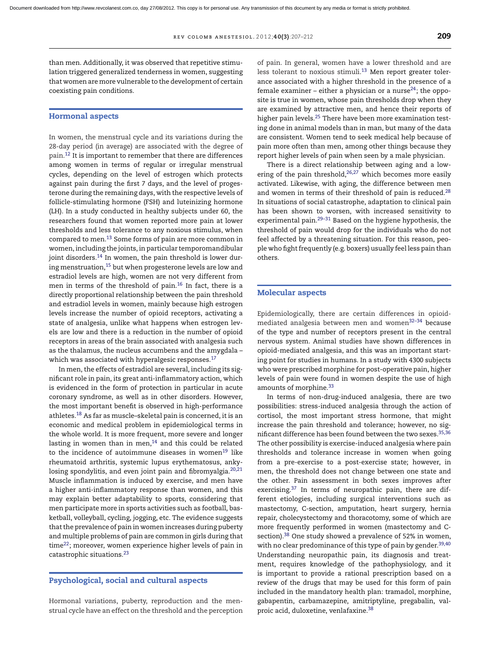than men. Additionally, it was observed that repetitive stimulation triggered generalized tenderness in women, suggesting that women are more vulnerable to the development of certain coexisting pain conditions.

#### **Hormonal aspects**

In women, the menstrual cycle and its variations during the 28-day period (in average) are associated with the degree of pain.[12](#page-4-0) It is important to remember that there are differences among women in terms of regular or irregular menstrual cycles, depending on the level of estrogen which protects against pain during the first 7 days, and the level of progesterone during the remaining days, with the respective levels of follicle-stimulating hormone (FSH) and luteinizing hormone (LH). In a study conducted in healthy subjects under 60, the researchers found that women reported more pain at lower thresholds and less tolerance to any noxious stimulus, when compared to men.[13](#page-4-0) Some forms of pain are more common in women, including the joints, in particular temporomandibular joint disorders.<sup>14</sup> In women, the pain threshold is lower during menstruation, $^{15}$  $^{15}$  $^{15}$  but when progesterone levels are low and estradiol levels are high, women are not very different from men in terms of the threshold of pain[.16](#page-4-0) In fact, there is a directly proportional relationship between the pain threshold and estradiol levels in women, mainly because high estrogen levels increase the number of opioid receptors, activating a state of analgesia, unlike what happens when estrogen levels are low and there is a reduction in the number of opioid receptors in areas of the brain associated with analgesia such as the thalamus, the nucleus accumbens and the amygdala – which was associated with hyperalgesic responses. $1/2$ 

In men, the effects of estradiol are several, including its significant role in pain, its great anti-inflammatory action, which is evidenced in the form of protection in particular in acute coronary syndrome, as well as in other disorders. However, the most important benefit is observed in high-performance athletes.[18](#page-4-0) As far as muscle–skeletal pain is concerned, it is an economic and medical problem in epidemiological terms in the whole world. It is more frequent, more severe and longer lasting in women than in men, $14$  and this could be related to the incidence of autoimmune diseases in women $19$  like rheumatoid arthritis, systemic lupus erythematosus, anky-losing spondylitis, and even joint pain and fibromyalgia.<sup>[20,21](#page-4-0)</sup> Muscle inflammation is induced by exercise, and men have a higher anti-inflammatory response than women, and this may explain better adaptability to sports, considering that men participate more in sports activities such as football, basketball, volleyball, cycling, jogging, etc. The evidence suggests that the prevalence of pain in women increases during puberty and multiple problems of pain are common in girls during that time<sup>22</sup>; moreover, women experience higher levels of pain in catastrophic situations.[23](#page-4-0)

### **Psychological, social and cultural aspects**

Hormonal variations, puberty, reproduction and the menstrual cycle have an effect on the threshold and the perception of pain. In general, women have a lower threshold and are less tolerant to noxious stimuli. $13$  Men report greater tolerance associated with a higher threshold in the presence of a female examiner – either a physician or a nurse $^{24}$ ; the opposite is true in women, whose pain thresholds drop when they are examined by attractive men, and hence their reports of higher pain levels.<sup>25</sup> There have been more examination testing done in animal models than in man, but many of the data are consistent. Women tend to seek medical help because of pain more often than men, among other things because they report higher levels of pain when seen by a male physician.

There is a direct relationship between aging and a lowering of the pain threshold. $26,27$  which becomes more easily activated. Likewise, with aging, the difference between men and women in terms of their threshold of pain is reduced.<sup>[28](#page-4-0)</sup> In situations of social catastrophe, adaptation to clinical pain has been shown to worsen, with increased sensitivity to experimental pain.<sup>29-31</sup> Based on the hygiene hypothesis, the threshold of pain would drop for the individuals who do not feel affected by a threatening situation. For this reason, people who fight frequently (e.g. boxers) usually feel less pain than others.

#### **Molecular aspects**

Epidemiologically, there are certain differences in opioidmediated analgesia between men and women $^{32-34}$  because of the type and number of receptors present in the central nervous system. Animal studies have shown differences in opioid-mediated analgesia, and this was an important starting point for studies in humans. In a study with 4300 subjects who were prescribed morphine for post-operative pain, higher levels of pain were found in women despite the use of high amounts of morphine.<sup>[33](#page-4-0)</sup>

In terms of non-drug-induced analgesia, there are two possibilities: stress-induced analgesia through the action of cortisol, the most important stress hormone, that might increase the pain threshold and tolerance; however, no significant difference has been found between the two sexes.  $35,36$ The other possibility is exercise-induced analgesia where pain thresholds and tolerance increase in women when going from a pre-exercise to a post-exercise state; however, in men, the threshold does not change between one state and the other. Pain assessment in both sexes improves after exercising.<sup>[37](#page-4-0)</sup> In terms of neuropathic pain, there are different etiologies, including surgical interventions such as mastectomy, C-section, amputation, heart surgery, hernia repair, cholecystectomy and thoracotomy, some of which are more frequently performed in women (mastectomy and C-section).<sup>[38](#page-4-0)</sup> One study showed a prevalence of 52% in women, with no clear predominance of this type of pain by gender.<sup>[39,40](#page-4-0)</sup> Understanding neuropathic pain, its diagnosis and treatment, requires knowledge of the pathophysiology, and it is important to provide a rational prescription based on a review of the drugs that may be used for this form of pain included in the mandatory health plan: tramadol, morphine, gabapentin, carbamazepine, amitriptyline, pregabalin, valproic acid, duloxetine, venlafaxine.[38](#page-4-0)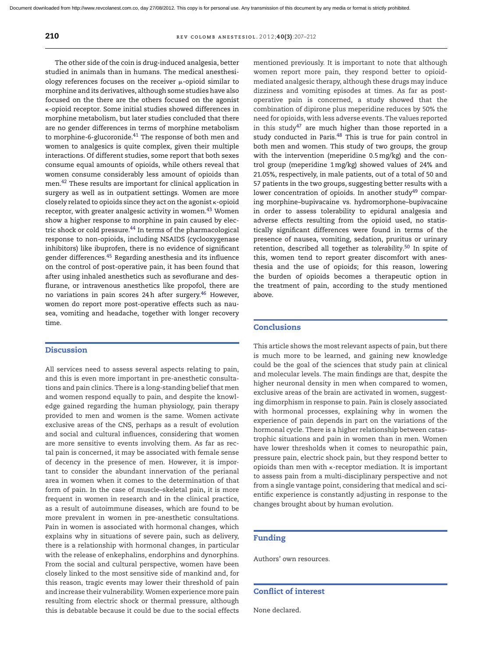The other side of the coin is drug-induced analgesia, better studied in animals than in humans. The medical anesthesiology references focuses on the receiver  $\mu$ -opioid similar to morphine and its derivatives, although some studies have also focused on the there are the others focused on the agonist --opioid receptor. Some initial studies showed differences in morphine metabolism, but later studies concluded that there are no gender differences in terms of morphine metabolism to morphine-6-glucoronide.<sup>[41](#page-4-0)</sup> The response of both men and women to analgesics is quite complex, given their multiple interactions. Of different studies, some report that both sexes consume equal amounts of opioids, while others reveal that women consume considerably less amount of opioids than men[.42](#page-5-0) These results are important for clinical application in surgery as well as in outpatient settings. Women are more closely related to opioids since they act on the agonist  $\kappa$ -opioid receptor, with greater analgesic activity in women.<sup>43</sup> Women show a higher response to morphine in pain caused by electric shock or cold pressure.<sup>44</sup> In terms of the pharmacological response to non-opioids, including NSAIDS (cyclooxygenase inhibitors) like ibuprofen, there is no evidence of significant gender differences.[45](#page-5-0) Regarding anesthesia and its influence on the control of post-operative pain, it has been found that after using inhaled anesthetics such as sevoflurane and desflurane, or intravenous anesthetics like propofol, there are no variations in pain scores 24h after surgery.<sup>46</sup> However, women do report more post-operative effects such as nausea, vomiting and headache, together with longer recovery time.

# **Discussion**

All services need to assess several aspects relating to pain, and this is even more important in pre-anesthetic consultations and pain clinics. There is a long-standing belief that men and women respond equally to pain, and despite the knowledge gained regarding the human physiology, pain therapy provided to men and women is the same. Women activate exclusive areas of the CNS, perhaps as a result of evolution and social and cultural influences, considering that women are more sensitive to events involving them. As far as rectal pain is concerned, it may be associated with female sense of decency in the presence of men. However, it is important to consider the abundant innervation of the perianal area in women when it comes to the determination of that form of pain. In the case of muscle–skeletal pain, it is more frequent in women in research and in the clinical practice, as a result of autoimmune diseases, which are found to be more prevalent in women in pre-anesthetic consultations. Pain in women is associated with hormonal changes, which explains why in situations of severe pain, such as delivery, there is a relationship with hormonal changes, in particular with the release of enkephalins, endorphins and dynorphins. From the social and cultural perspective, women have been closely linked to the most sensitive side of mankind and, for this reason, tragic events may lower their threshold of pain and increase their vulnerability. Women experience more pain resulting from electric shock or thermal pressure, although this is debatable because it could be due to the social effects mentioned previously. It is important to note that although women report more pain, they respond better to opioidmediated analgesic therapy, although these drugs may induce dizziness and vomiting episodes at times. As far as postoperative pain is concerned, a study showed that the combination of dipirone plus meperidine reduces by 50% the need for opioids, with less adverse events. The values reported in this study<sup>47</sup> are much higher than those reported in a study conducted in Paris.[48](#page-5-0) This is true for pain control in both men and women. This study of two groups, the group with the intervention (meperidine 0.5mg/kg) and the control group (meperidine 1mg/kg) showed values of 24% and 21.05%, respectively, in male patients, out of a total of 50 and 57 patients in the two groups, suggesting better results with a lower concentration of opioids. In another study<sup>49</sup> comparing morphine–bupivacaine vs. hydromorphone–bupivacaine in order to assess tolerability to epidural analgesia and adverse effects resulting from the opioid used, no statistically significant differences were found in terms of the presence of nausea, vomiting, sedation, pruritus or urinary retention, described all together as *tolerability*. [50](#page-5-0) In spite of this, women tend to report greater discomfort with anesthesia and the use of opioids; for this reason, lowering the burden of opioids becomes a therapeutic option in the treatment of pain, according to the study mentioned above.

## **Conclusions**

This article shows the most relevant aspects of pain, but there is much more to be learned, and gaining new knowledge could be the goal of the sciences that study pain at clinical and molecular levels. The main findings are that, despite the higher neuronal density in men when compared to women, exclusive areas of the brain are activated in women, suggesting dimorphism in response to pain. Pain is closely associated with hormonal processes, explaining why in women the experience of pain depends in part on the variations of the hormonal cycle. There is a higher relationship between catastrophic situations and pain in women than in men. Women have lower thresholds when it comes to neuropathic pain, pressure pain, electric shock pain, but they respond better to  $\alpha$  opioids than men with  $\kappa$ -receptor mediation. It is important to assess pain from a multi-disciplinary perspective and not from a single vantage point, considering that medical and scientific experience is constantly adjusting in response to the changes brought about by human evolution.

#### **Funding**

Authors' own resources.

# **Conflict of interest**

None declared.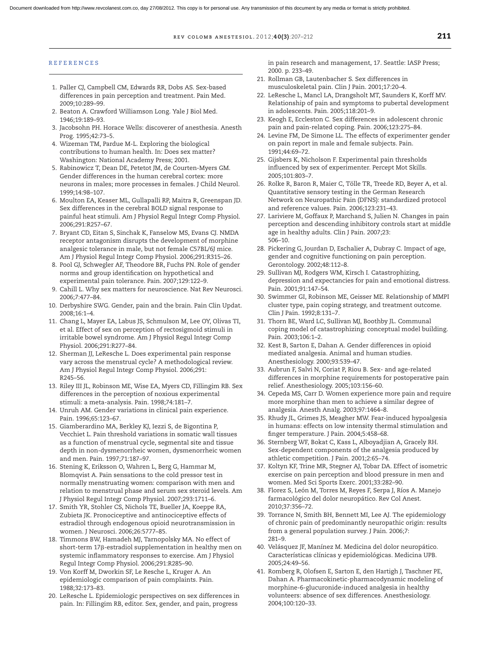#### r ev colomb ane s t e s iol . 2 0 1 2;**40(3)**:207–212 **211**

#### <span id="page-4-0"></span>**REFERENCES**

- 1. Paller CJ, Campbell CM, Edwards RR, Dobs AS. Sex-based differences in pain perception and treatment. Pain Med. 2009;10:289–99.
- 2. Beaton A. Crawford Williamson Long. Yale J Biol Med. 1946;19:189–93.
- 3. Jacobsohn PH. Horace Wells: discoverer of anesthesia. Anesth Prog. 1995;42:73–5.
- 4. Wizeman TM, Pardue M-L. Exploring the biological contributions to human health. In: Does sex matter? Washington: National Academy Press; 2001.
- 5. Rabinowicz T, Dean DE, Petetot JM, de Courten-Myers GM. Gender differences in the human cerebral cortex: more neurons in males; more processes in females. J Child Neurol. 1999;14:98–107.
- 6. Moulton EA, Keaser ML, Gullapalli RP, Maitra R, Greenspan JD. Sex differences in the cerebral BOLD signal response to painful heat stimuli. Am J Physiol Regul Integr Comp Physiol. 2006;291:R257–67.
- 7. Bryant CD, Eitan S, Sinchak K, Fanselow MS, Evans CJ. NMDA receptor antagonism disrupts the development of morphine analgesic tolerance in male, but not female C57BL/6J mice. Am J Physiol Regul Integr Comp Physiol. 2006;291:R315–26.
- 8. Pool GJ, Schwegler AF, Theodore BR, Fuchs PN. Role of gender norms and group identification on hypothetical and experimental pain tolerance. Pain. 2007;129:122–9.
- 9. Cahill L. Why sex matters for neuroscience. Nat Rev Neurosci. 2006;7:477–84.
- 10. Derbyshire SWG. Gender, pain and the brain. Pain Clin Updat. 2008;16:1–4.
- 11. Chang L, Mayer EA, Labus JS, Schmulson M, Lee OY, Olivas TI, et al. Effect of sex on perception of rectosigmoid stimuli in irritable bowel syndrome. Am J Physiol Regul Integr Comp Physiol. 2006;291:R277–84.
- 12. Sherman JJ, LeResche L. Does experimental pain response vary across the menstrual cycle? A methodological review. Am J Physiol Regul Integr Comp Physiol. 2006;291: R245–56.
- 13. Riley III JL, Robinson ME, Wise EA, Myers CD, Fillingim RB. Sex differences in the perception of noxious experimental stimuli: a meta-analysis. Pain. 1998;74:181–7.
- 14. Unruh AM. Gender variations in clinical pain experience. Pain. 1996;65:123–67.
- 15. Giamberardino MA, Berkley KJ, Iezzi S, de Bigontina P, Vecchiet L. Pain threshold variations in somatic wall tissues as a function of menstrual cycle, segmental site and tissue depth in non-dysmenorrheic women, dysmenorrheic women and men. Pain. 1997;71:187–97.
- 16. Stening K, Eriksson O, Wahren L, Berg G, Hammar M, Blomqvist A. Pain sensations to the cold pressor test in normally menstruating women: comparison with men and relation to menstrual phase and serum sex steroid levels. Am J Physiol Regul Integr Comp Physiol. 2007;293:1711–6.
- 17. Smith YR, Stohler CS, Nichols TE, Bueller JA, Koeppe RA, Zubieta JK. Pronociceptive and antinociceptive effects of estradiol through endogenous opioid neurotransmission in women. J Neurosci. 2006;26:5777–85.
- 18. Timmons BW, Hamadeh MJ, Tarnopolsky MA. No effect of short-term 178-estradiol supplementation in healthy men on systemic inflammatory responses to exercise. Am J Physiol Regul Integr Comp Physiol. 2006;291:R285–90.
- 19. Von Korff M, Dworkin SF, Le Resche L, Kruger A. An epidemiologic comparison of pain complaints. Pain. 1988;32:173–83.
- 20. LeResche L. Epidemiologic perspectives on sex differences in pain. In: Fillingim RB, editor. Sex, gender, and pain, progress

in pain research and management, 17. Seattle: IASP Press; 2000. p. 233–49.

- 21. Rollman GB, Lautenbacher S. Sex differences in musculoskeletal pain. Clin J Pain. 2001;17:20–4.
- 22. LeResche L, Mancl LA, Drangsholt MT, Saunders K, Korff MV. Relationship of pain and symptoms to pubertal development in adolescents. Pain. 2005;118:201–9.
- 23. Keogh E, Eccleston C. Sex differences in adolescent chronic pain and pain-related coping. Pain. 2006;123:275–84.
- 24. Levine FM, De Simone LL. The effects of experimenter gender on pain report in male and female subjects. Pain. 1991;44:69–72.
- 25. Gijsbers K, Nicholson F. Experimental pain thresholds influenced by sex of experimenter. Percept Mot Skills. 2005;101:803–7.
- 26. Rolke R, Baron R, Maier C, Tölle TR, Treede RD, Beyer A, et al. Quantitative sensory testing in the German Research Network on Neuropathic Pain (DFNS): standardized protocol and reference values. Pain. 2006;123:231–43.
- 27. Lariviere M, Goffaux P, Marchand S, Julien N. Changes in pain perception and descending inhibitory controls start at middle age in healthy adults. Clin J Pain. 2007;23: 506–10.
- 28. Pickering G, Jourdan D, Eschalier A, Dubray C. Impact of age, gender and cognitive functioning on pain perception. Gerontology. 2002;48:112–8.
- 29. Sullivan MJ, Rodgers WM, Kirsch I. Catastrophizing, depression and expectancies for pain and emotional distress. Pain. 2001;91:147–54.
- 30. Swimmer GI, Robinson ME, Geisser ME. Relationship of MMPI cluster type, pain coping strategy, and treatment outcome. Clin J Pain. 1992;8:131–7.
- 31. Thorn BE, Ward LC, Sullivan MJ, Boothby JL. Communal coping model of catastrophizing: conceptual model building. Pain. 2003;106:1–2.
- 32. Kest B, Sarton E, Dahan A. Gender differences in opioid mediated analgesia. Animal and human studies. Anesthesiology. 2000;93:539–47.
- 33. Aubrun F, Salvi N, Coriat P, Riou B. Sex- and age-related differences in morphine requirements for postoperative pain relief. Anesthesiology. 2005;103:156–60.
- 34. Cepeda MS, Carr D. Women experience more pain and require more morphine than men to achieve a similar degree of analgesia. Anesth Analg. 2003;97:1464–8.
- 35. Rhudy JL, Grimes JS, Meagher MW. Fear-induced hypoalgesia in humans: effects on low intensity thermal stimulation and finger temperature. J Pain. 2004;5:458–68.
- 36. Sternberg WF, Bokat C, Kass L, Alboyadjian A, Gracely RH. Sex-dependent components of the analgesia produced by athletic competition. J Pain. 2001;2:65–74.
- 37. Koltyn KF, Trine MR, Stegner AJ, Tobar DA. Effect of isometric exercise on pain perception and blood pressure in men and women. Med Sci Sports Exerc. 2001;33:282–90.
- 38. Florez S, León M, Torres M, Reyes F, Serpa J, Ríos A. Manejo farmacológico del dolor neuropático. Rev Col Anest. 2010;37:356–72.
- 39. Torrance N, Smith BH, Bennett MI, Lee AJ. The epidemiology of chronic pain of predominantly neuropathic origin: results from a general population survey. J Pain. 2006;7: 281–9.
- 40. Velásquez JF, Manínez M. Medicina del dolor neuropático. Características clínicas y epidemiológicas. Medicina UPB. 2005;24:49–56.
- 41. Romberg R, Olofsen E, Sarton E, den Hartigh J, Taschner PE, Dahan A. Pharmacokinetic-pharmacodynamic modeling of morphine-6-glucuronide-induced analgesia in healthy volunteers: absence of sex differences. Anesthesiology. 2004;100:120–33.